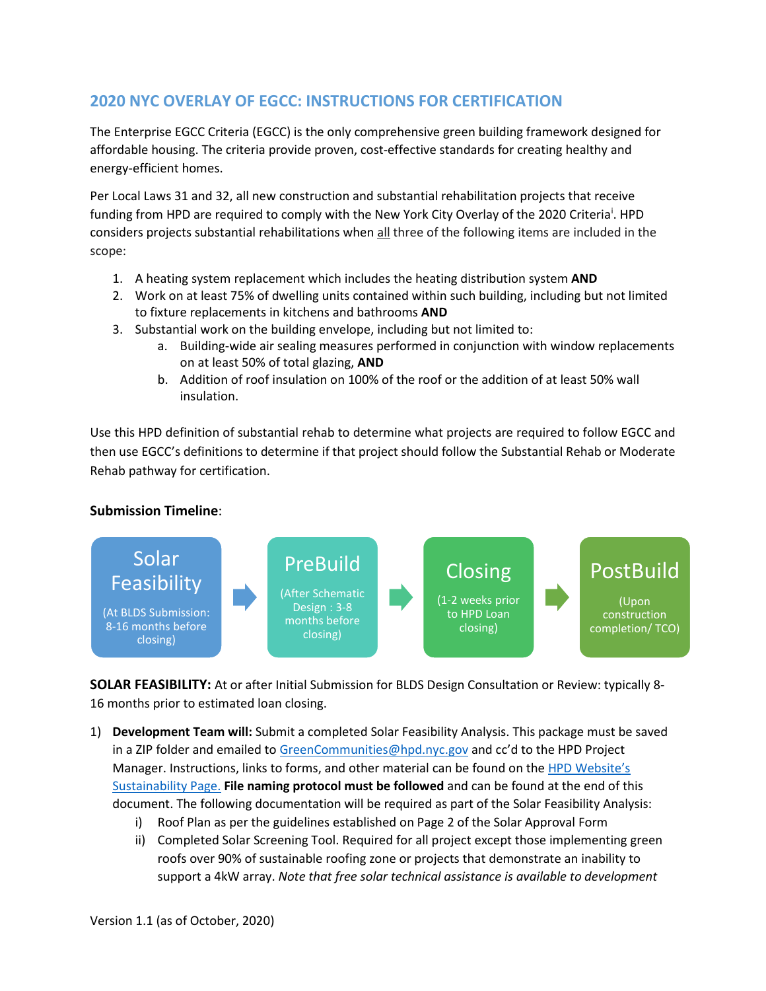## **2020 NYC OVERLAY OF EGCC: INSTRUCTIONS FOR CERTIFICATION**

The Enterprise EGCC Criteria (EGCC) is the only comprehensive green building framework designed for affordable housing. The criteria provide proven, cost-effective standards for creating healthy and energy-efficient homes.

Per Local Laws 31 and 32, all new construction and substantial rehabilitation projects that receive fund[i](#page-4-0)ng from HPD are required to comply with the New York City Overlay of the 2020 Criteria<sup>i</sup>. HPD considers projects substantial rehabilitations when all three of the following items are included in the scope:

- 1. A heating system replacement which includes the heating distribution system **AND**
- 2. Work on at least 75% of dwelling units contained within such building, including but not limited to fixture replacements in kitchens and bathrooms **AND**
- 3. Substantial work on the building envelope, including but not limited to:
	- a. Building-wide air sealing measures performed in conjunction with window replacements on at least 50% of total glazing, **AND**
	- b. Addition of roof insulation on 100% of the roof or the addition of at least 50% wall insulation.

Use this HPD definition of substantial rehab to determine what projects are required to follow EGCC and then use EGCC's definitions to determine if that project should follow the Substantial Rehab or Moderate Rehab pathway for certification.

## **Submission Timeline**:



**SOLAR FEASIBILITY:** At or after Initial Submission for BLDS Design Consultation or Review: typically 8- 16 months prior to estimated loan closing.

- 1) **Development Team will:** Submit a completed Solar Feasibility Analysis. This package must be saved in a ZIP folder and emailed t[o GreenCommunities@hpd.nyc.gov](mailto:GreenCommunities@hpd.nyc.gov) and cc'd to the HPD Project Manager. Instructions, links to forms, and other material can be found on the HPD Website's [Sustainability Page.](https://www1.nyc.gov/site/hpd/services-and-information/sustainability.page) **File naming protocol must be followed** and can be found at the end of this document. The following documentation will be required as part of the Solar Feasibility Analysis:
	- i) Roof Plan as per the guidelines established on Page 2 of the Solar Approval Form
	- ii) Completed Solar Screening Tool. Required for all project except those implementing green roofs over 90% of sustainable roofing zone or projects that demonstrate an inability to support a 4kW array. *Note that free solar technical assistance is available to development*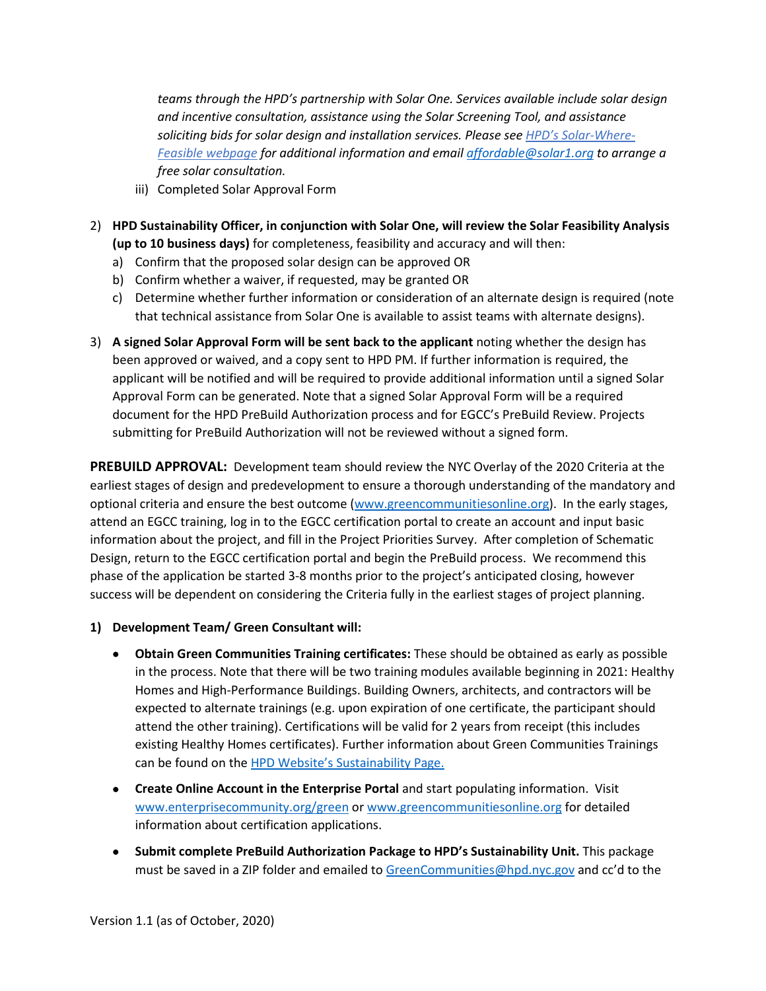*teams through the HPD's partnership with Solar One. Services available include solar design and incentive consultation, assistance using the Solar Screening Tool, and assistance soliciting bids for solar design and installation services. Please see [HPD's Solar-Where-](mailto:HPD%E2%80%99s%20Solar-Where-Feasible%20webpage)[Feasible webpage](mailto:HPD%E2%80%99s%20Solar-Where-Feasible%20webpage) for additional information and email [affordable@solar1.org](mailto:affordable@solar1.org) to arrange a free solar consultation.* 

- iii) Completed Solar Approval Form
- 2) **HPD Sustainability Officer, in conjunction with Solar One, will review the Solar Feasibility Analysis (up to 10 business days)** for completeness, feasibility and accuracy and will then:
	- a) Confirm that the proposed solar design can be approved OR
	- b) Confirm whether a waiver, if requested, may be granted OR
	- c) Determine whether further information or consideration of an alternate design is required (note that technical assistance from Solar One is available to assist teams with alternate designs).
- 3) **A signed Solar Approval Form will be sent back to the applicant** noting whether the design has been approved or waived, and a copy sent to HPD PM. If further information is required, the applicant will be notified and will be required to provide additional information until a signed Solar Approval Form can be generated. Note that a signed Solar Approval Form will be a required document for the HPD PreBuild Authorization process and for EGCC's PreBuild Review. Projects submitting for PreBuild Authorization will not be reviewed without a signed form.

**PREBUILD APPROVAL:** Development team should review the NYC Overlay of the 2020 Criteria at the earliest stages of design and predevelopment to ensure a thorough understanding of the mandatory and optional criteria and ensure the best outcome [\(www.greencommunitiesonline.org\)](http://www.greencommunitiesonline.org/). In the early stages, attend an EGCC training, log in to the EGCC certification portal to create an account and input basic information about the project, and fill in the Project Priorities Survey. After completion of Schematic Design, return to the EGCC certification portal and begin the PreBuild process. We recommend this phase of the application be started 3-8 months prior to the project's anticipated closing, however success will be dependent on considering the Criteria fully in the earliest stages of project planning.

## **1) Development Team/ Green Consultant will:**

- **Obtain Green Communities Training certificates:** These should be obtained as early as possible in the process. Note that there will be two training modules available beginning in 2021: Healthy Homes and High-Performance Buildings. Building Owners, architects, and contractors will be expected to alternate trainings (e.g. upon expiration of one certificate, the participant should attend the other training). Certifications will be valid for 2 years from receipt (this includes existing Healthy Homes certificates). Further information about Green Communities Trainings can be found on the [HPD Website's Sustainability Page.](https://www1.nyc.gov/site/hpd/services-and-information/sustainability.page)
- **Create Online Account in the Enterprise Portal** and start populating information. Visit [www.enterprisecommunity.org/green](http://www.enterprisecommunity.org/green) o[r www.greencommunitiesonline.org](http://www.greencommunitiesonline.org/) for detailed information about certification applications.
- **Submit complete PreBuild Authorization Package to HPD's Sustainability Unit.** This package must be saved in a ZIP folder and emailed t[o GreenCommunities@hpd.nyc.gov](mailto:GreenCommunities@hpd.nyc.gov) and cc'd to the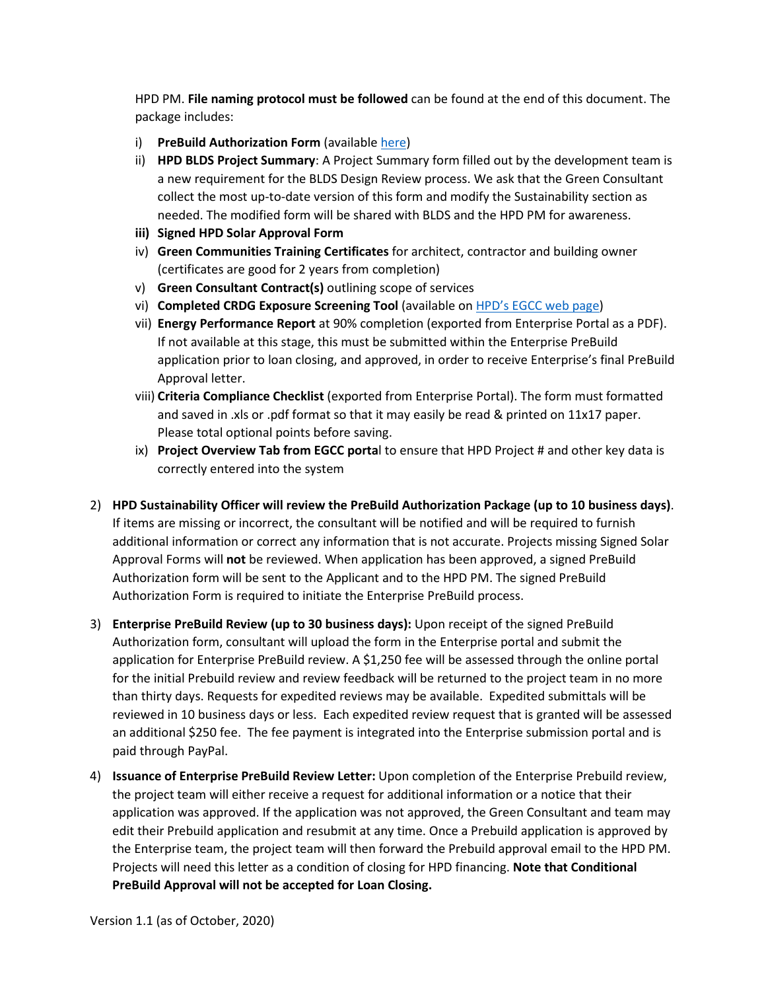HPD PM. **File naming protocol must be followed** can be found at the end of this document. The package includes:

- i) **PreBuild Authorization Form** (available [here\)](https://www1.nyc.gov/site/hpd/services-and-information/enterprise-green-communities-criteria-egcc.page)
- ii) **HPD BLDS Project Summary**: A Project Summary form filled out by the development team is a new requirement for the BLDS Design Review process. We ask that the Green Consultant collect the most up-to-date version of this form and modify the Sustainability section as needed. The modified form will be shared with BLDS and the HPD PM for awareness.
- **iii) Signed HPD Solar Approval Form**
- iv) **Green Communities Training Certificates** for architect, contractor and building owner (certificates are good for 2 years from completion)
- v) **Green Consultant Contract(s)** outlining scope of services
- vi) **Completed CRDG Exposure Screening Tool** (available o[n HPD's EGCC web page\)](https://www1.nyc.gov/site/hpd/services-and-information/enterprise-green-communities-criteria-egcc.page)
- vii) **Energy Performance Report** at 90% completion (exported from Enterprise Portal as a PDF). If not available at this stage, this must be submitted within the Enterprise PreBuild application prior to loan closing, and approved, in order to receive Enterprise's final PreBuild Approval letter.
- viii) **Criteria Compliance Checklist** (exported from Enterprise Portal). The form must formatted and saved in .xls or .pdf format so that it may easily be read & printed on 11x17 paper. Please total optional points before saving.
- ix) **Project Overview Tab from EGCC porta**l to ensure that HPD Project # and other key data is correctly entered into the system
- 2) **HPD Sustainability Officer will review the PreBuild Authorization Package (up to 10 business days)**. If items are missing or incorrect, the consultant will be notified and will be required to furnish additional information or correct any information that is not accurate. Projects missing Signed Solar Approval Forms will **not** be reviewed. When application has been approved, a signed PreBuild Authorization form will be sent to the Applicant and to the HPD PM. The signed PreBuild Authorization Form is required to initiate the Enterprise PreBuild process.
- 3) **Enterprise PreBuild Review (up to 30 business days):** Upon receipt of the signed PreBuild Authorization form, consultant will upload the form in the Enterprise portal and submit the application for Enterprise PreBuild review. A \$1,250 fee will be assessed through the online portal for the initial Prebuild review and review feedback will be returned to the project team in no more than thirty days. Requests for expedited reviews may be available. Expedited submittals will be reviewed in 10 business days or less. Each expedited review request that is granted will be assessed an additional \$250 fee. The fee payment is integrated into the Enterprise submission portal and is paid through PayPal.
- 4) **Issuance of Enterprise PreBuild Review Letter:** Upon completion of the Enterprise Prebuild review, the project team will either receive a request for additional information or a notice that their application was approved. If the application was not approved, the Green Consultant and team may edit their Prebuild application and resubmit at any time. Once a Prebuild application is approved by the Enterprise team, the project team will then forward the Prebuild approval email to the HPD PM. Projects will need this letter as a condition of closing for HPD financing. **Note that Conditional PreBuild Approval will not be accepted for Loan Closing.**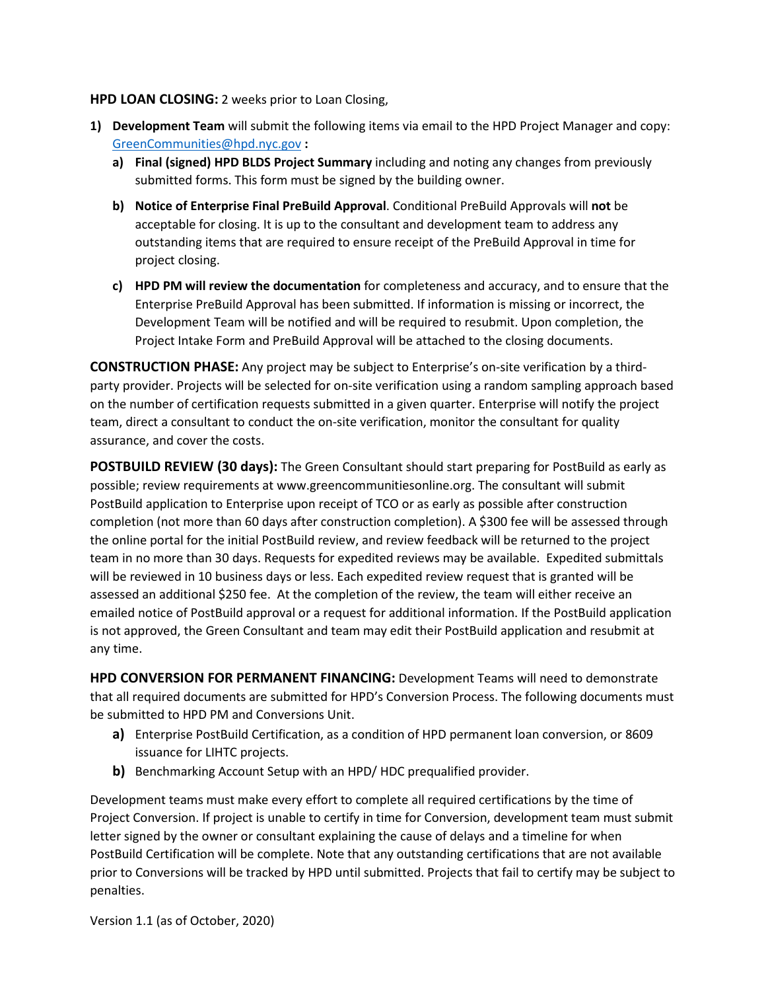## **HPD LOAN CLOSING:** 2 weeks prior to Loan Closing,

- **1) Development Team** will submit the following items via email to the HPD Project Manager and copy: [GreenCommunities@hpd.nyc.gov](mailto:GreenCommunities@hpd.nyc.gov) **:**
	- **a) Final (signed) HPD BLDS Project Summary** including and noting any changes from previously submitted forms. This form must be signed by the building owner.
	- **b) Notice of Enterprise Final PreBuild Approval**. Conditional PreBuild Approvals will **not** be acceptable for closing. It is up to the consultant and development team to address any outstanding items that are required to ensure receipt of the PreBuild Approval in time for project closing.
	- **c) HPD PM will review the documentation** for completeness and accuracy, and to ensure that the Enterprise PreBuild Approval has been submitted. If information is missing or incorrect, the Development Team will be notified and will be required to resubmit. Upon completion, the Project Intake Form and PreBuild Approval will be attached to the closing documents.

**CONSTRUCTION PHASE:** Any project may be subject to Enterprise's on-site verification by a thirdparty provider. Projects will be selected for on-site verification using a random sampling approach based on the number of certification requests submitted in a given quarter. Enterprise will notify the project team, direct a consultant to conduct the on-site verification, monitor the consultant for quality assurance, and cover the costs.

**POSTBUILD REVIEW (30 days):** The Green Consultant should start preparing for PostBuild as early as possible; review requirements at www.greencommunitiesonline.org. The consultant will submit PostBuild application to Enterprise upon receipt of TCO or as early as possible after construction completion (not more than 60 days after construction completion). A \$300 fee will be assessed through the online portal for the initial PostBuild review, and review feedback will be returned to the project team in no more than 30 days. Requests for expedited reviews may be available. Expedited submittals will be reviewed in 10 business days or less. Each expedited review request that is granted will be assessed an additional \$250 fee. At the completion of the review, the team will either receive an emailed notice of PostBuild approval or a request for additional information. If the PostBuild application is not approved, the Green Consultant and team may edit their PostBuild application and resubmit at any time.

**HPD CONVERSION FOR PERMANENT FINANCING:** Development Teams will need to demonstrate that all required documents are submitted for HPD's Conversion Process. The following documents must be submitted to HPD PM and Conversions Unit.

- **a)** Enterprise PostBuild Certification, as a condition of HPD permanent loan conversion, or 8609 issuance for LIHTC projects.
- **b)** Benchmarking Account Setup with an HPD/ HDC prequalified provider.

Development teams must make every effort to complete all required certifications by the time of Project Conversion. If project is unable to certify in time for Conversion, development team must submit letter signed by the owner or consultant explaining the cause of delays and a timeline for when PostBuild Certification will be complete. Note that any outstanding certifications that are not available prior to Conversions will be tracked by HPD until submitted. Projects that fail to certify may be subject to penalties.

Version 1.1 (as of October, 2020)